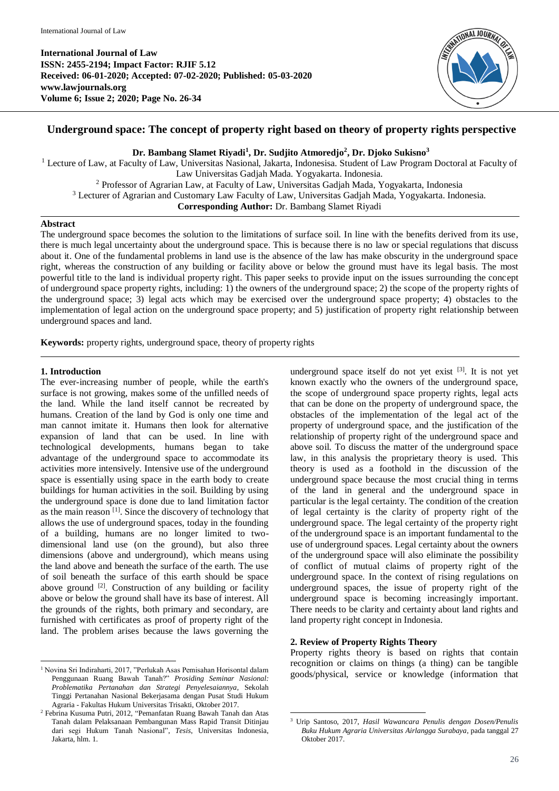

# **Underground space: The concept of property right based on theory of property rights perspective**

**Dr. Bambang Slamet Riyadi<sup>1</sup> , Dr. Sudjito Atmoredjo<sup>2</sup> , Dr. Djoko Sukisno<sup>3</sup>**

<sup>1</sup> Lecture of Law, at Faculty of Law, Universitas Nasional, Jakarta, Indonesisa. Student of Law Program Doctoral at Faculty of Law Universitas Gadjah Mada. Yogyakarta. Indonesia. <sup>2</sup> Professor of Agrarian Law, at Faculty of Law, Universitas Gadjah Mada, Yogyakarta, Indonesia <sup>3</sup> Lecturer of Agrarian and Customary Law Faculty of Law, Universitas Gadjah Mada, Yogyakarta. Indonesia. **Corresponding Author:** Dr. Bambang Slamet Riyadi

#### **Abstract**

The underground space becomes the solution to the limitations of surface soil. In line with the benefits derived from its use, there is much legal uncertainty about the underground space. This is because there is no law or special regulations that discuss about it. One of the fundamental problems in land use is the absence of the law has make obscurity in the underground space right, whereas the construction of any building or facility above or below the ground must have its legal basis. The most powerful title to the land is individual property right. This paper seeks to provide input on the issues surrounding the concept of underground space property rights, including: 1) the owners of the underground space; 2) the scope of the property rights of the underground space; 3) legal acts which may be exercised over the underground space property; 4) obstacles to the implementation of legal action on the underground space property; and 5) justification of property right relationship between underground spaces and land.

**Keywords:** property rights, underground space, theory of property rights

#### **1. Introduction**

The ever-increasing number of people, while the earth's surface is not growing, makes some of the unfilled needs of the land. While the land itself cannot be recreated by humans. Creation of the land by God is only one time and man cannot imitate it. Humans then look for alternative expansion of land that can be used. In line with technological developments, humans began to take advantage of the underground space to accommodate its activities more intensively. Intensive use of the underground space is essentially using space in the earth body to create buildings for human activities in the soil. Building by using the underground space is done due to land limitation factor as the main reason  $\left[1\right]$ . Since the discovery of technology that allows the use of underground spaces, today in the founding of a building, humans are no longer limited to twodimensional land use (on the ground), but also three dimensions (above and underground), which means using the land above and beneath the surface of the earth. The use of soil beneath the surface of this earth should be space above ground  $[2]$ . Construction of any building or facility above or below the ground shall have its base of interest. All the grounds of the rights, both primary and secondary, are furnished with certificates as proof of property right of the land. The problem arises because the laws governing the

underground space itself do not yet exist  $[3]$ . It is not yet known exactly who the owners of the underground space, the scope of underground space property rights, legal acts that can be done on the property of underground space, the obstacles of the implementation of the legal act of the property of underground space, and the justification of the relationship of property right of the underground space and above soil. To discuss the matter of the underground space law, in this analysis the proprietary theory is used. This theory is used as a foothold in the discussion of the underground space because the most crucial thing in terms of the land in general and the underground space in particular is the legal certainty. The condition of the creation of legal certainty is the clarity of property right of the underground space. The legal certainty of the property right of the underground space is an important fundamental to the use of underground spaces. Legal certainty about the owners of the underground space will also eliminate the possibility of conflict of mutual claims of property right of the underground space. In the context of rising regulations on underground spaces, the issue of property right of the underground space is becoming increasingly important. There needs to be clarity and certainty about land rights and land property right concept in Indonesia.

## **2. Review of Property Rights Theory**

.

Property rights theory is based on rights that contain recognition or claims on things (a thing) can be tangible goods/physical, service or knowledge (information that

 $\overline{a}$ <sup>1</sup> Novina Sri Indiraharti, 2017, "Perlukah Asas Pemisahan Horisontal dalam Penggunaan Ruang Bawah Tanah?" *Prosiding Seminar Nasional: Problematika Pertanahan dan Strategi Penyelesaiannya*, Sekolah Tinggi Pertanahan Nasional Bekerjasama dengan Pusat Studi Hukum Agraria - Fakultas Hukum Universitas Trisakti, Oktober 2017.

<sup>2</sup> Febrina Kusuma Putri, 2012*,* "Pemanfatan Ruang Bawah Tanah dan Atas Tanah dalam Pelaksanaan Pembangunan Mass Rapid Transit Ditinjau dari segi Hukum Tanah Nasional", *Tesis*, Universitas Indonesia, Jakarta, hlm. 1.

<sup>3</sup> Urip Santoso, 2017, *Hasil Wawancara Penulis dengan Dosen/Penulis Buku Hukum Agraria Universitas Airlangga Surabaya*, pada tanggal 27 Oktober 2017.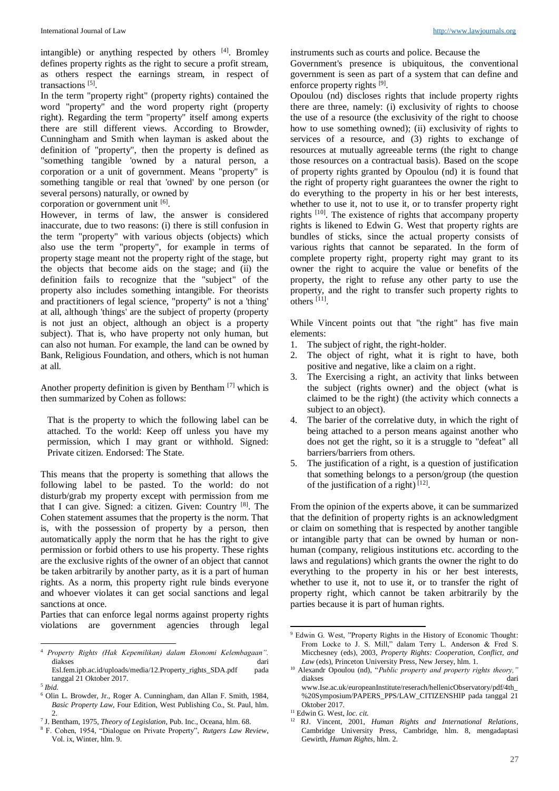intangible) or anything respected by others [4]. Bromley defines property rights as the right to secure a profit stream, as others respect the earnings stream, in respect of transactions<sup>[5]</sup>.

In the term "property right" (property rights) contained the word "property" and the word property right (property right). Regarding the term "property" itself among experts there are still different views. According to Browder, Cunningham and Smith when layman is asked about the definition of "property", then the property is defined as "something tangible 'owned by a natural person, a corporation or a unit of government. Means "property" is something tangible or real that 'owned' by one person (or several persons) naturally, or owned by

corporation or government unit [6].

However, in terms of law, the answer is considered inaccurate, due to two reasons: (i) there is still confusion in the term "property" with various objects (objects) which also use the term "property", for example in terms of property stage meant not the property right of the stage, but the objects that become aids on the stage; and (ii) the definition fails to recognize that the "subject" of the property also includes something intangible. For theorists and practitioners of legal science, "property" is not a 'thing' at all, although 'things' are the subject of property (property is not just an object, although an object is a property subject). That is, who have property not only human, but can also not human. For example, the land can be owned by Bank, Religious Foundation, and others, which is not human at all.

Another property definition is given by Bentham [7] which is then summarized by Cohen as follows:

That is the property to which the following label can be attached. To the world: Keep off unless you have my permission, which I may grant or withhold. Signed: Private citizen. Endorsed: The State.

This means that the property is something that allows the following label to be pasted. To the world: do not disturb/grab my property except with permission from me that I can give. Signed: a citizen. Given: Country [8] . The Cohen statement assumes that the property is the norm. That is, with the possession of property by a person, then automatically apply the norm that he has the right to give permission or forbid others to use his property. These rights are the exclusive rights of the owner of an object that cannot be taken arbitrarily by another party, as it is a part of human rights. As a norm, this property right rule binds everyone and whoever violates it can get social sanctions and legal sanctions at once.

Parties that can enforce legal norms against property rights violations are government agencies through legal instruments such as courts and police. Because the

Government's presence is ubiquitous, the conventional government is seen as part of a system that can define and enforce property rights [9].

Opoulou (nd) discloses rights that include property rights there are three, namely: (i) exclusivity of rights to choose the use of a resource (the exclusivity of the right to choose how to use something owned); (ii) exclusivity of rights to services of a resource, and (3) rights to exchange of resources at mutually agreeable terms (the right to change those resources on a contractual basis). Based on the scope of property rights granted by Opoulou (nd) it is found that the right of property right guarantees the owner the right to do everything to the property in his or her best interests, whether to use it, not to use it, or to transfer property right rights <sup>[10]</sup>. The existence of rights that accompany property rights is likened to Edwin G. West that property rights are bundles of sticks, since the actual property consists of various rights that cannot be separated. In the form of complete property right, property right may grant to its owner the right to acquire the value or benefits of the property, the right to refuse any other party to use the property, and the right to transfer such property rights to others [11] .

While Vincent points out that "the right" has five main elements:

- 1. The subject of right, the right-holder.
- 2. The object of right, what it is right to have, both positive and negative, like a claim on a right.
- 3. The Exercising a right, an activity that links between the subject (rights owner) and the object (what is claimed to be the right) (the activity which connects a subject to an object).
- 4. The barier of the correlative duty, in which the right of being attached to a person means against another who does not get the right, so it is a struggle to "defeat" all barriers/barriers from others.
- 5. The justification of a right, is a question of justification that something belongs to a person/group (the question of the justification of a right) [12].

From the opinion of the experts above, it can be summarized that the definition of property rights is an acknowledgment or claim on something that is respected by another tangible or intangible party that can be owned by human or nonhuman (company, religious institutions etc. according to the laws and regulations) which grants the owner the right to do everything to the property in his or her best interests, whether to use it, not to use it, or to transfer the right of property right, which cannot be taken arbitrarily by the parties because it is part of human rights.

1

 $\overline{a}$ <sup>4</sup> *Property Rights (Hak Kepemilikan) dalam Ekonomi Kelembagaan".*  diakses dari

Esl.fem.ipb.ac.id/uploads/media/12.Property\_rights\_SDA.pdf pada tanggal 21 Oktober 2017.

<sup>5</sup> *Ibid.*

<sup>6</sup> Olin L. Browder, Jr., Roger A. Cunningham, dan Allan F. Smith, 1984, *Basic Property Law*, Four Edition, West Publishing Co., St. Paul, hlm.  $\mathcal{L}$ 

<sup>7</sup> J. Bentham, 1975, *Theory of Legislation*, Pub. Inc., Oceana, hlm. 68.

<sup>8</sup> F. Cohen, 1954, "Dialogue on Private Property", *Rutgers Law Review*, Vol. ix, Winter, hlm. 9.

<sup>9</sup> Edwin G. West, "Property Rights in the History of Economic Thought: From Locke to J. S. Mill," dalam Terry L. Anderson & Fred S. Micchesney (eds), 2003, *Property Rights: Cooperation, Conflict, and Law* (eds), Princeton University Press, New Jersey, hlm. 1.

<sup>10</sup> Alexandr Opoulou (nd), "*Public property and property rights theory,"* diakses dari www.Ise.ac.uk/europeanInstitute/reserach/hellenicObservatory/pdf/4th\_ %20Symposium/PAPERS\_PPS/LAW\_CITIZENSHIP pada tanggal 21 Oktober 2017.

<sup>11</sup> Edwin G. West, *loc. cit.*

<sup>12</sup> RJ. Vincent, 2001, *Human Rights and International Relations*, Cambridge University Press, Cambridge, hlm. 8, mengadaptasi Gewirth, *Human Rights*, hlm. 2.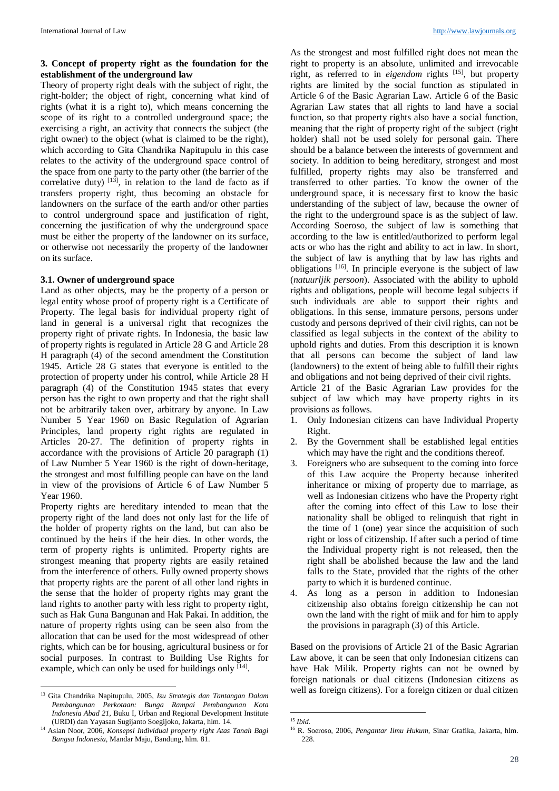## **3. Concept of property right as the foundation for the establishment of the underground law**

Theory of property right deals with the subject of right, the right-holder; the object of right, concerning what kind of rights (what it is a right to), which means concerning the scope of its right to a controlled underground space; the exercising a right, an activity that connects the subject (the right owner) to the object (what is claimed to be the right), which according to Gita Chandrika Napitupulu in this case relates to the activity of the underground space control of the space from one party to the party other (the barrier of the correlative duty)  $^{[13]}$ , in relation to the land de facto as if transfers property right, thus becoming an obstacle for landowners on the surface of the earth and/or other parties to control underground space and justification of right, concerning the justification of why the underground space must be either the property of the landowner on its surface, or otherwise not necessarily the property of the landowner on its surface.

### **3.1. Owner of underground space**

Land as other objects, may be the property of a person or legal entity whose proof of property right is a Certificate of Property. The legal basis for individual property right of land in general is a universal right that recognizes the property right of private rights. In Indonesia, the basic law of property rights is regulated in Article 28 G and Article 28 H paragraph (4) of the second amendment the Constitution 1945. Article 28 G states that everyone is entitled to the protection of property under his control, while Article 28 H paragraph (4) of the Constitution 1945 states that every person has the right to own property and that the right shall not be arbitrarily taken over, arbitrary by anyone. In Law Number 5 Year 1960 on Basic Regulation of Agrarian Principles, land property right rights are regulated in Articles 20-27. The definition of property rights in accordance with the provisions of Article 20 paragraph (1) of Law Number 5 Year 1960 is the right of down-heritage, the strongest and most fulfilling people can have on the land in view of the provisions of Article 6 of Law Number 5 Year 1960.

Property rights are hereditary intended to mean that the property right of the land does not only last for the life of the holder of property rights on the land, but can also be continued by the heirs if the heir dies. In other words, the term of property rights is unlimited. Property rights are strongest meaning that property rights are easily retained from the interference of others. Fully owned property shows that property rights are the parent of all other land rights in the sense that the holder of property rights may grant the land rights to another party with less right to property right, such as Hak Guna Bangunan and Hak Pakai. In addition, the nature of property rights using can be seen also from the allocation that can be used for the most widespread of other rights, which can be for housing, agricultural business or for social purposes. In contrast to Building Use Rights for example, which can only be used for buildings only [14].

l

As the strongest and most fulfilled right does not mean the right to property is an absolute, unlimited and irrevocable right, as referred to in *eigendom* rights <sup>[15]</sup>, but property rights are limited by the social function as stipulated in Article 6 of the Basic Agrarian Law. Article 6 of the Basic Agrarian Law states that all rights to land have a social function, so that property rights also have a social function, meaning that the right of property right of the subject (right holder) shall not be used solely for personal gain. There should be a balance between the interests of government and society. In addition to being hereditary, strongest and most fulfilled, property rights may also be transferred and transferred to other parties. To know the owner of the underground space, it is necessary first to know the basic understanding of the subject of law, because the owner of the right to the underground space is as the subject of law. According Soeroso, the subject of law is something that according to the law is entitled/authorized to perform legal acts or who has the right and ability to act in law. In short, the subject of law is anything that by law has rights and obligations [16] . In principle everyone is the subject of law (*natuurljik persoon*). Associated with the ability to uphold rights and obligations, people will become legal subjects if such individuals are able to support their rights and obligations. In this sense, immature persons, persons under custody and persons deprived of their civil rights, can not be classified as legal subjects in the context of the ability to uphold rights and duties. From this description it is known that all persons can become the subject of land law (landowners) to the extent of being able to fulfill their rights and obligations and not being deprived of their civil rights.

Article 21 of the Basic Agrarian Law provides for the subject of law which may have property rights in its provisions as follows.

- 1. Only Indonesian citizens can have Individual Property Right.
- 2. By the Government shall be established legal entities which may have the right and the conditions thereof.
- 3. Foreigners who are subsequent to the coming into force of this Law acquire the Property because inherited inheritance or mixing of property due to marriage, as well as Indonesian citizens who have the Property right after the coming into effect of this Law to lose their nationality shall be obliged to relinquish that right in the time of 1 (one) year since the acquisition of such right or loss of citizenship. If after such a period of time the Individual property right is not released, then the right shall be abolished because the law and the land falls to the State, provided that the rights of the other party to which it is burdened continue.
- 4. As long as a person in addition to Indonesian citizenship also obtains foreign citizenship he can not own the land with the right of miik and for him to apply the provisions in paragraph (3) of this Article.

Based on the provisions of Article 21 of the Basic Agrarian Law above, it can be seen that only Indonesian citizens can have Hak Milik. Property rights can not be owned by foreign nationals or dual citizens (Indonesian citizens as well as foreign citizens). For a foreign citizen or dual citizen

<sup>13</sup> Gita Chandrika Napitupulu, 2005, *Isu Strategis dan Tantangan Dalam Pembangunan Perkotaan: Bunga Rampai Pembangunan Kota Indonesia Abad 21,* Buku I, Urban and Regional Development Institute (URDI) dan Yayasan Sugijanto Soegijoko, Jakarta, hlm. 14*.*

<sup>14</sup> Aslan Noor, 2006, *Konsepsi Individual property right Atas Tanah Bagi Bangsa Indonesia*, Mandar Maju, Bandung, hlm. 81.

<sup>.</sup> <sup>15</sup> *Ibid.*

<sup>16</sup> R. Soeroso, 2006, *Pengantar Ilmu Hukum,* Sinar Grafika, Jakarta, hlm. 228.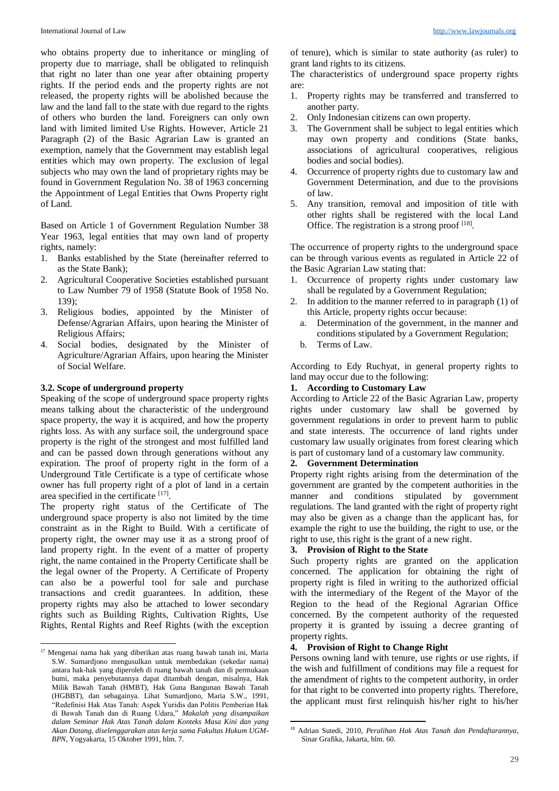who obtains property due to inheritance or mingling of property due to marriage, shall be obligated to relinquish that right no later than one year after obtaining property rights. If the period ends and the property rights are not released, the property rights will be abolished because the law and the land fall to the state with due regard to the rights of others who burden the land. Foreigners can only own land with limited limited Use Rights. However, Article 21 Paragraph (2) of the Basic Agrarian Law is granted an exemption, namely that the Government may establish legal entities which may own property. The exclusion of legal subjects who may own the land of proprietary rights may be found in Government Regulation No. 38 of 1963 concerning the Appointment of Legal Entities that Owns Property right of Land.

Based on Article 1 of Government Regulation Number 38 Year 1963, legal entities that may own land of property rights, namely:

- 1. Banks established by the State (hereinafter referred to as the State Bank);
- 2. Agricultural Cooperative Societies established pursuant to Law Number 79 of 1958 (Statute Book of 1958 No. 139);
- 3. Religious bodies, appointed by the Minister of Defense/Agrarian Affairs, upon hearing the Minister of Religious Affairs;
- 4. Social bodies, designated by the Minister of Agriculture/Agrarian Affairs, upon hearing the Minister of Social Welfare.

## **3.2. Scope of underground property**

 $\overline{a}$ 

Speaking of the scope of underground space property rights means talking about the characteristic of the underground space property, the way it is acquired, and how the property rights loss. As with any surface soil, the underground space property is the right of the strongest and most fulfilled land and can be passed down through generations without any expiration. The proof of property right in the form of a Underground Title Certificate is a type of certificate whose owner has full property right of a plot of land in a certain area specified in the certificate [17].

The property right status of the Certificate of The underground space property is also not limited by the time constraint as in the Right to Build. With a certificate of property right, the owner may use it as a strong proof of land property right. In the event of a matter of property right, the name contained in the Property Certificate shall be the legal owner of the Property. A Certificate of Property can also be a powerful tool for sale and purchase transactions and credit guarantees. In addition, these property rights may also be attached to lower secondary rights such as Building Rights, Cultivation Rights, Use Rights, Rental Rights and Reef Rights (with the exception of tenure), which is similar to state authority (as ruler) to grant land rights to its citizens.

The characteristics of underground space property rights are:

- 1. Property rights may be transferred and transferred to another party.
- 2. Only Indonesian citizens can own property.
- 3. The Government shall be subject to legal entities which may own property and conditions (State banks, associations of agricultural cooperatives, religious bodies and social bodies).
- 4. Occurrence of property rights due to customary law and Government Determination, and due to the provisions of law.
- 5. Any transition, removal and imposition of title with other rights shall be registered with the local Land Office. The registration is a strong proof [18].

The occurrence of property rights to the underground space can be through various events as regulated in Article 22 of the Basic Agrarian Law stating that:

- 1. Occurrence of property rights under customary law shall be regulated by a Government Regulation;
- 2. In addition to the manner referred to in paragraph (1) of this Article, property rights occur because:
	- a. Determination of the government, in the manner and conditions stipulated by a Government Regulation;
	- b. Terms of Law.

According to Edy Ruchyat, in general property rights to land may occur due to the following:

## **1. According to Customary Law**

According to Article 22 of the Basic Agrarian Law, property rights under customary law shall be governed by government regulations in order to prevent harm to public and state interests. The occurrence of land rights under customary law usually originates from forest clearing which is part of customary land of a customary law community.

#### **2. Government Determination**

Property right rights arising from the determination of the government are granted by the competent authorities in the manner and conditions stipulated by government regulations. The land granted with the right of property right may also be given as a change than the applicant has, for example the right to use the building, the right to use, or the right to use, this right is the grant of a new right.

# **3. Provision of Right to the State**

Such property rights are granted on the application concerned. The application for obtaining the right of property right is filed in writing to the authorized official with the intermediary of the Regent of the Mayor of the Region to the head of the Regional Agrarian Office concerned. By the competent authority of the requested property it is granted by issuing a decree granting of property rights.

#### **4. Provision of Right to Change Right**

1

Persons owning land with tenure, use rights or use rights, if the wish and fulfillment of conditions may file a request for the amendment of rights to the competent authority, in order for that right to be converted into property rights. Therefore, the applicant must first relinquish his/her right to his/her

<sup>&</sup>lt;sup>17</sup> Mengenai nama hak yang diberikan atas ruang bawah tanah ini, Maria S.W. Sumardjono mengusulkan untuk membedakan (sekedar nama) antara hak-hak yang diperoleh di ruang bawah tanah dan di permukaan bumi, maka penyebutannya dapat ditambah dengan, misalnya, Hak Milik Bawah Tanah (HMBT), Hak Guna Bangunan Bawah Tanah (HGBBT), dan sebagainya. Lihat Sumardjono, Maria S.W., 1991, "Redefinisi Hak Atas Tanah: Aspek Yuridis dan Politis Pemberian Hak di Bawah Tanah dan di Ruang Udara," *Makalah yang disampaikan dalam Seminar Hak Atas Tanah dalam Konteks Masa Kini dan yang Akan Datang, diselenggarakan atas kerja sama Fakultas Hukum UGM-BPN*, Yogyakarta, 15 Oktober 1991, hlm. 7.

<sup>18</sup> Adrian Sutedi, 2010, *Peralihan Hak Atas Tanah dan Pendaftarannya*, Sinar Grafika, Jakarta, hlm. 60.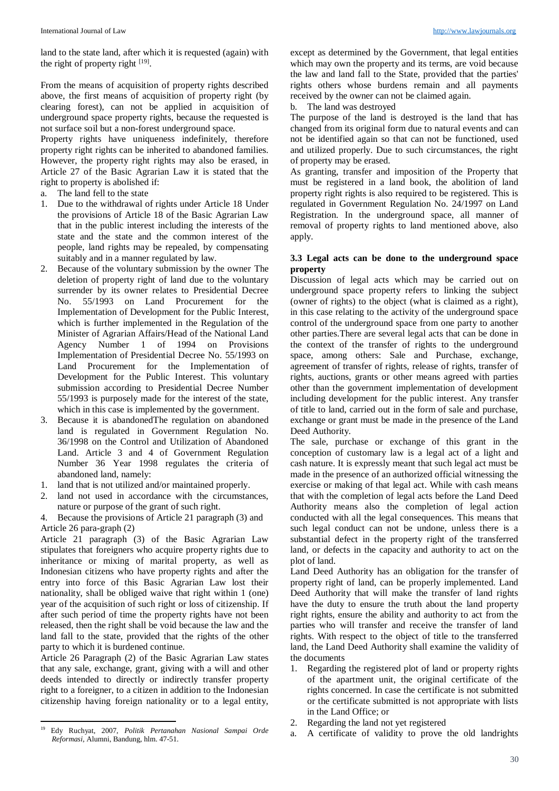land to the state land, after which it is requested (again) with the right of property right  $[19]$ .

From the means of acquisition of property rights described above, the first means of acquisition of property right (by clearing forest), can not be applied in acquisition of underground space property rights, because the requested is not surface soil but a non-forest underground space.

Property rights have uniqueness indefinitely, therefore property right rights can be inherited to abandoned families. However, the property right rights may also be erased, in Article 27 of the Basic Agrarian Law it is stated that the right to property is abolished if:

- a. The land fell to the state
- 1. Due to the withdrawal of rights under Article 18 Under the provisions of Article 18 of the Basic Agrarian Law that in the public interest including the interests of the state and the state and the common interest of the people, land rights may be repealed, by compensating suitably and in a manner regulated by law.
- Because of the voluntary submission by the owner The deletion of property right of land due to the voluntary surrender by its owner relates to Presidential Decree No. 55/1993 on Land Procurement for the Implementation of Development for the Public Interest, which is further implemented in the Regulation of the Minister of Agrarian Affairs/Head of the National Land Agency Number 1 of 1994 on Provisions Implementation of Presidential Decree No. 55/1993 on Land Procurement for the Implementation of Development for the Public Interest. This voluntary submission according to Presidential Decree Number 55/1993 is purposely made for the interest of the state, which in this case is implemented by the government.
- 3. Because it is abandonedThe regulation on abandoned land is regulated in Government Regulation No. 36/1998 on the Control and Utilization of Abandoned Land. Article 3 and 4 of Government Regulation Number 36 Year 1998 regulates the criteria of abandoned land, namely:
- 1. land that is not utilized and/or maintained properly.
- land not used in accordance with the circumstances, nature or purpose of the grant of such right.

4. Because the provisions of Article 21 paragraph (3) and Article 26 para-graph (2)

Article 21 paragraph (3) of the Basic Agrarian Law stipulates that foreigners who acquire property rights due to inheritance or mixing of marital property, as well as Indonesian citizens who have property rights and after the entry into force of this Basic Agrarian Law lost their nationality, shall be obliged waive that right within 1 (one) year of the acquisition of such right or loss of citizenship. If after such period of time the property rights have not been released, then the right shall be void because the law and the land fall to the state, provided that the rights of the other party to which it is burdened continue.

Article 26 Paragraph (2) of the Basic Agrarian Law states that any sale, exchange, grant, giving with a will and other deeds intended to directly or indirectly transfer property right to a foreigner, to a citizen in addition to the Indonesian citizenship having foreign nationality or to a legal entity, except as determined by the Government, that legal entities which may own the property and its terms, are void because the law and land fall to the State, provided that the parties' rights others whose burdens remain and all payments received by the owner can not be claimed again.

b. The land was destroyed

The purpose of the land is destroyed is the land that has changed from its original form due to natural events and can not be identified again so that can not be functioned, used and utilized properly. Due to such circumstances, the right of property may be erased.

As granting, transfer and imposition of the Property that must be registered in a land book, the abolition of land property right rights is also required to be registered. This is regulated in Government Regulation No. 24/1997 on Land Registration. In the underground space, all manner of removal of property rights to land mentioned above, also apply.

## **3.3 Legal acts can be done to the underground space property**

Discussion of legal acts which may be carried out on underground space property refers to linking the subject (owner of rights) to the object (what is claimed as a right), in this case relating to the activity of the underground space control of the underground space from one party to another other parties.There are several legal acts that can be done in the context of the transfer of rights to the underground space, among others: Sale and Purchase, exchange, agreement of transfer of rights, release of rights, transfer of rights, auctions, grants or other means agreed with parties other than the government implementation of development including development for the public interest. Any transfer of title to land, carried out in the form of sale and purchase, exchange or grant must be made in the presence of the Land Deed Authority.

The sale, purchase or exchange of this grant in the conception of customary law is a legal act of a light and cash nature. It is expressly meant that such legal act must be made in the presence of an authorized official witnessing the exercise or making of that legal act. While with cash means that with the completion of legal acts before the Land Deed Authority means also the completion of legal action conducted with all the legal consequences. This means that such legal conduct can not be undone, unless there is a substantial defect in the property right of the transferred land, or defects in the capacity and authority to act on the plot of land.

Land Deed Authority has an obligation for the transfer of property right of land, can be properly implemented. Land Deed Authority that will make the transfer of land rights have the duty to ensure the truth about the land property right rights, ensure the ability and authority to act from the parties who will transfer and receive the transfer of land rights. With respect to the object of title to the transferred land, the Land Deed Authority shall examine the validity of the documents

- 1. Regarding the registered plot of land or property rights of the apartment unit, the original certificate of the rights concerned. In case the certificate is not submitted or the certificate submitted is not appropriate with lists in the Land Office; or
- 2. Regarding the land not yet registered
- a. A certificate of validity to prove the old landrights

l <sup>19</sup> Edy Ruchyat, 2007, *Politik Pertanahan Nasional Sampai Orde Reformasi*, Alumni, Bandung, hlm. 47-51.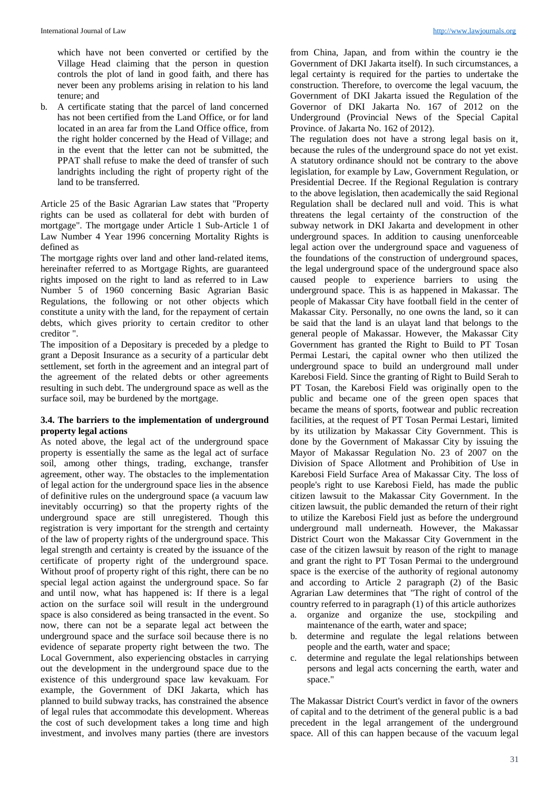which have not been converted or certified by the Village Head claiming that the person in question controls the plot of land in good faith, and there has never been any problems arising in relation to his land tenure; and

b. A certificate stating that the parcel of land concerned has not been certified from the Land Office, or for land located in an area far from the Land Office office, from the right holder concerned by the Head of Village; and in the event that the letter can not be submitted, the PPAT shall refuse to make the deed of transfer of such landrights including the right of property right of the land to be transferred.

Article 25 of the Basic Agrarian Law states that "Property rights can be used as collateral for debt with burden of mortgage". The mortgage under Article 1 Sub-Article 1 of Law Number 4 Year 1996 concerning Mortality Rights is defined as

The mortgage rights over land and other land-related items, hereinafter referred to as Mortgage Rights, are guaranteed rights imposed on the right to land as referred to in Law Number 5 of 1960 concerning Basic Agrarian Basic Regulations, the following or not other objects which constitute a unity with the land, for the repayment of certain debts, which gives priority to certain creditor to other creditor ".

The imposition of a Depositary is preceded by a pledge to grant a Deposit Insurance as a security of a particular debt settlement, set forth in the agreement and an integral part of the agreement of the related debts or other agreements resulting in such debt. The underground space as well as the surface soil, may be burdened by the mortgage.

## **3.4. The barriers to the implementation of underground property legal actions**

As noted above, the legal act of the underground space property is essentially the same as the legal act of surface soil, among other things, trading, exchange, transfer agreement, other way. The obstacles to the implementation of legal action for the underground space lies in the absence of definitive rules on the underground space (a vacuum law inevitably occurring) so that the property rights of the underground space are still unregistered. Though this registration is very important for the strength and certainty of the law of property rights of the underground space. This legal strength and certainty is created by the issuance of the certificate of property right of the underground space. Without proof of property right of this right, there can be no special legal action against the underground space. So far and until now, what has happened is: If there is a legal action on the surface soil will result in the underground space is also considered as being transacted in the event. So now, there can not be a separate legal act between the underground space and the surface soil because there is no evidence of separate property right between the two. The Local Government, also experiencing obstacles in carrying out the development in the underground space due to the existence of this underground space law kevakuam. For example, the Government of DKI Jakarta, which has planned to build subway tracks, has constrained the absence of legal rules that accommodate this development. Whereas the cost of such development takes a long time and high investment, and involves many parties (there are investors

from China, Japan, and from within the country ie the Government of DKI Jakarta itself). In such circumstances, a legal certainty is required for the parties to undertake the construction. Therefore, to overcome the legal vacuum, the Government of DKI Jakarta issued the Regulation of the Governor of DKI Jakarta No. 167 of 2012 on the Underground (Provincial News of the Special Capital Province. of Jakarta No. 162 of 2012).

The regulation does not have a strong legal basis on it, because the rules of the underground space do not yet exist. A statutory ordinance should not be contrary to the above legislation, for example by Law, Government Regulation, or Presidential Decree. If the Regional Regulation is contrary to the above legislation, then academically the said Regional Regulation shall be declared null and void. This is what threatens the legal certainty of the construction of the subway network in DKI Jakarta and development in other underground spaces. In addition to causing unenforceable legal action over the underground space and vagueness of the foundations of the construction of underground spaces, the legal underground space of the underground space also caused people to experience barriers to using the underground space. This is as happened in Makassar. The people of Makassar City have football field in the center of Makassar City. Personally, no one owns the land, so it can be said that the land is an ulayat land that belongs to the general people of Makassar. However, the Makassar City Government has granted the Right to Build to PT Tosan Permai Lestari, the capital owner who then utilized the underground space to build an underground mall under Karebosi Field. Since the granting of Right to Build Serah to PT Tosan, the Karebosi Field was originally open to the public and became one of the green open spaces that became the means of sports, footwear and public recreation facilities, at the request of PT Tosan Permai Lestari, limited by its utilization by Makassar City Government. This is done by the Government of Makassar City by issuing the Mayor of Makassar Regulation No. 23 of 2007 on the Division of Space Allotment and Prohibition of Use in Karebosi Field Surface Area of Makassar City. The loss of people's right to use Karebosi Field, has made the public citizen lawsuit to the Makassar City Government. In the citizen lawsuit, the public demanded the return of their right to utilize the Karebosi Field just as before the underground underground mall underneath. However, the Makassar District Court won the Makassar City Government in the case of the citizen lawsuit by reason of the right to manage and grant the right to PT Tosan Permai to the underground space is the exercise of the authority of regional autonomy and according to Article 2 paragraph (2) of the Basic Agrarian Law determines that "The right of control of the country referred to in paragraph (1) of this article authorizes

- a. organize and organize the use, stockpiling and maintenance of the earth, water and space;
- b. determine and regulate the legal relations between people and the earth, water and space;
- c. determine and regulate the legal relationships between persons and legal acts concerning the earth, water and space."

The Makassar District Court's verdict in favor of the owners of capital and to the detriment of the general public is a bad precedent in the legal arrangement of the underground space. All of this can happen because of the vacuum legal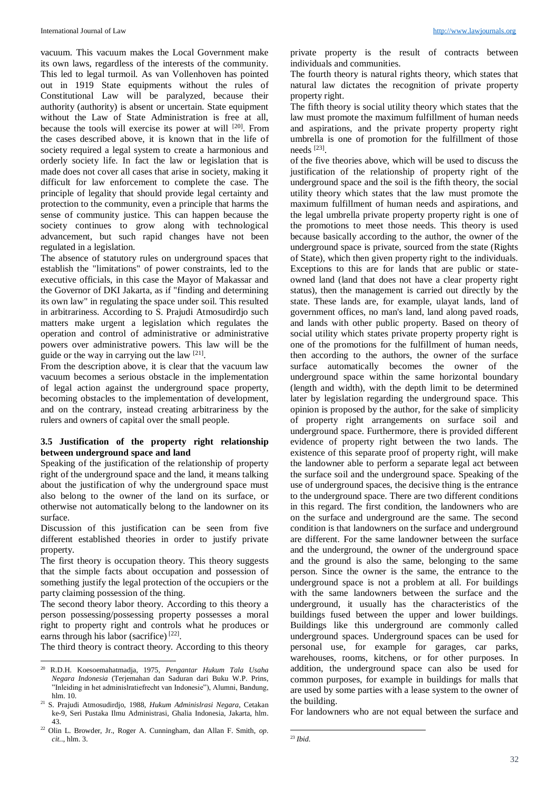vacuum. This vacuum makes the Local Government make its own laws, regardless of the interests of the community. This led to legal turmoil. As van Vollenhoven has pointed out in 1919 State equipments without the rules of Constitutional Law will be paralyzed, because their authority (authority) is absent or uncertain. State equipment without the Law of State Administration is free at all, because the tools will exercise its power at will [20]. From the cases described above, it is known that in the life of society required a legal system to create a harmonious and orderly society life. In fact the law or legislation that is made does not cover all cases that arise in society, making it difficult for law enforcement to complete the case. The principle of legality that should provide legal certainty and protection to the community, even a principle that harms the sense of community justice. This can happen because the society continues to grow along with technological advancement, but such rapid changes have not been regulated in a legislation.

The absence of statutory rules on underground spaces that establish the "limitations" of power constraints, led to the executive officials, in this case the Mayor of Makassar and the Governor of DKI Jakarta, as if "finding and determining its own law" in regulating the space under soil. This resulted in arbitrariness. According to S. Prajudi Atmosudirdjo such matters make urgent a legislation which regulates the operation and control of administrative or administrative powers over administrative powers. This law will be the guide or the way in carrying out the law  $[21]$ .

From the description above, it is clear that the vacuum law vacuum becomes a serious obstacle in the implementation of legal action against the underground space property, becoming obstacles to the implementation of development, and on the contrary, instead creating arbitrariness by the rulers and owners of capital over the small people.

### **3.5 Justification of the property right relationship between underground space and land**

Speaking of the justification of the relationship of property right of the underground space and the land, it means talking about the justification of why the underground space must also belong to the owner of the land on its surface, or otherwise not automatically belong to the landowner on its surface.

Discussion of this justification can be seen from five different established theories in order to justify private property.

The first theory is occupation theory. This theory suggests that the simple facts about occupation and possession of something justify the legal protection of the occupiers or the party claiming possession of the thing.

The second theory labor theory. According to this theory a person possessing/possessing property possesses a moral right to property right and controls what he produces or earns through his labor (sacrifice)<sup>[22]</sup>.

The third theory is contract theory. According to this theory

private property is the result of contracts between individuals and communities.

The fourth theory is natural rights theory, which states that natural law dictates the recognition of private property property right.

The fifth theory is social utility theory which states that the law must promote the maximum fulfillment of human needs and aspirations, and the private property property right umbrella is one of promotion for the fulfillment of those needs [23] .

of the five theories above, which will be used to discuss the justification of the relationship of property right of the underground space and the soil is the fifth theory, the social utility theory which states that the law must promote the maximum fulfillment of human needs and aspirations, and the legal umbrella private property property right is one of the promotions to meet those needs. This theory is used because basically according to the author, the owner of the underground space is private, sourced from the state (Rights of State), which then given property right to the individuals. Exceptions to this are for lands that are public or stateowned land (land that does not have a clear property right status), then the management is carried out directly by the state. These lands are, for example, ulayat lands, land of government offices, no man's land, land along paved roads, and lands with other public property. Based on theory of social utility which states private property property right is one of the promotions for the fulfillment of human needs, then according to the authors, the owner of the surface surface automatically becomes the owner of the underground space within the same horizontal boundary (length and width), with the depth limit to be determined later by legislation regarding the underground space. This opinion is proposed by the author, for the sake of simplicity of property right arrangements on surface soil and underground space. Furthermore, there is provided different evidence of property right between the two lands. The existence of this separate proof of property right, will make the landowner able to perform a separate legal act between the surface soil and the underground space. Speaking of the use of underground spaces, the decisive thing is the entrance to the underground space. There are two different conditions in this regard. The first condition, the landowners who are on the surface and underground are the same. The second condition is that landowners on the surface and underground are different. For the same landowner between the surface and the underground, the owner of the underground space and the ground is also the same, belonging to the same person. Since the owner is the same, the entrance to the underground space is not a problem at all. For buildings with the same landowners between the surface and the underground, it usually has the characteristics of the buildings fused between the upper and lower buildings. Buildings like this underground are commonly called underground spaces. Underground spaces can be used for personal use, for example for garages, car parks, warehouses, rooms, kitchens, or for other purposes. In addition, the underground space can also be used for common purposes, for example in buildings for malls that are used by some parties with a lease system to the owner of the building.

For landowners who are not equal between the surface and

 $\overline{a}$ <sup>20</sup> R.D.H. Koesoemahatmadja, 1975, *Pengantar Hukum Tala Usaha Negara Indonesia* (Terjemahan dan Saduran dari Buku W.P. Prins, "Inleiding in het adminislratiefrecht van Indonesie"), Alumni, Bandung, hlm. 10.

<sup>21</sup> S. Prajudi Atmosudirdjo, 1988, *Hukum Adminislrasi Negara*, Cetakan ke-9, Seri Pustaka Ilmu Administrasi, Ghalia Indonesia, Jakarta, hlm. 43.

<sup>22</sup> Olin L. Browder, Jr., Roger A. Cunningham, dan Allan F. Smith, *op. cit.*., hlm. 3.

<sup>.</sup> <sup>23</sup> *Ibid*.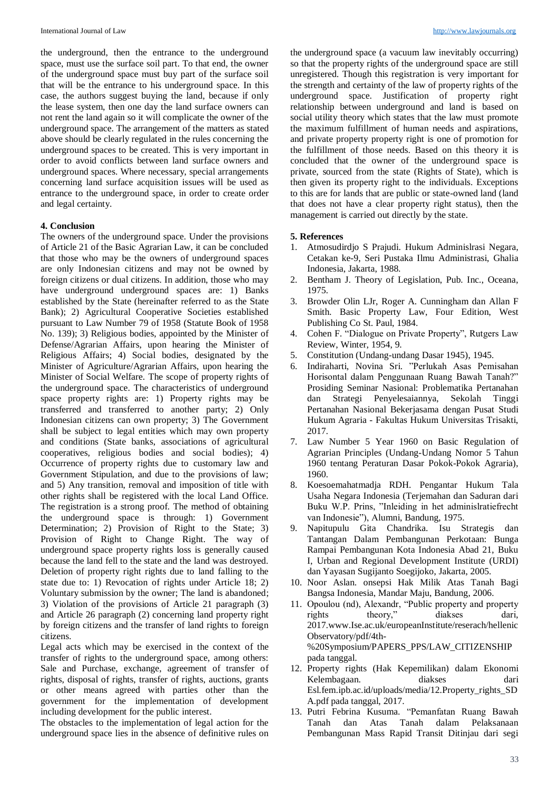the underground, then the entrance to the underground space, must use the surface soil part. To that end, the owner of the underground space must buy part of the surface soil that will be the entrance to his underground space. In this case, the authors suggest buying the land, because if only the lease system, then one day the land surface owners can not rent the land again so it will complicate the owner of the underground space. The arrangement of the matters as stated above should be clearly regulated in the rules concerning the underground spaces to be created. This is very important in order to avoid conflicts between land surface owners and underground spaces. Where necessary, special arrangements concerning land surface acquisition issues will be used as entrance to the underground space, in order to create order and legal certainty.

#### **4. Conclusion**

The owners of the underground space. Under the provisions of Article 21 of the Basic Agrarian Law, it can be concluded that those who may be the owners of underground spaces are only Indonesian citizens and may not be owned by foreign citizens or dual citizens. In addition, those who may have underground underground spaces are: 1) Banks established by the State (hereinafter referred to as the State Bank); 2) Agricultural Cooperative Societies established pursuant to Law Number 79 of 1958 (Statute Book of 1958 No. 139); 3) Religious bodies, appointed by the Minister of Defense/Agrarian Affairs, upon hearing the Minister of Religious Affairs; 4) Social bodies, designated by the Minister of Agriculture/Agrarian Affairs, upon hearing the Minister of Social Welfare. The scope of property rights of the underground space. The characteristics of underground space property rights are: 1) Property rights may be transferred and transferred to another party; 2) Only Indonesian citizens can own property; 3) The Government shall be subject to legal entities which may own property and conditions (State banks, associations of agricultural cooperatives, religious bodies and social bodies); 4) Occurrence of property rights due to customary law and Government Stipulation, and due to the provisions of law; and 5) Any transition, removal and imposition of title with other rights shall be registered with the local Land Office. The registration is a strong proof. The method of obtaining the underground space is through: 1) Government Determination; 2) Provision of Right to the State; 3) Provision of Right to Change Right. The way of underground space property rights loss is generally caused because the land fell to the state and the land was destroyed. Deletion of property right rights due to land falling to the state due to: 1) Revocation of rights under Article 18; 2) Voluntary submission by the owner; The land is abandoned; 3) Violation of the provisions of Article 21 paragraph (3) and Article 26 paragraph (2) concerning land property right by foreign citizens and the transfer of land rights to foreign citizens.

Legal acts which may be exercised in the context of the transfer of rights to the underground space, among others: Sale and Purchase, exchange, agreement of transfer of rights, disposal of rights, transfer of rights, auctions, grants or other means agreed with parties other than the government for the implementation of development including development for the public interest.

The obstacles to the implementation of legal action for the underground space lies in the absence of definitive rules on the underground space (a vacuum law inevitably occurring) so that the property rights of the underground space are still unregistered. Though this registration is very important for the strength and certainty of the law of property rights of the underground space. Justification of property right relationship between underground and land is based on social utility theory which states that the law must promote the maximum fulfillment of human needs and aspirations, and private property property right is one of promotion for the fulfillment of those needs. Based on this theory it is concluded that the owner of the underground space is private, sourced from the state (Rights of State), which is then given its property right to the individuals. Exceptions to this are for lands that are public or state-owned land (land that does not have a clear property right status), then the management is carried out directly by the state.

#### **5. References**

- 1. Atmosudirdjo S Prajudi. Hukum Adminislrasi Negara, Cetakan ke-9, Seri Pustaka Ilmu Administrasi, Ghalia Indonesia, Jakarta, 1988.
- 2. Bentham J. Theory of Legislation, Pub. Inc., Oceana, 1975.
- 3. Browder Olin LJr, Roger A. Cunningham dan Allan F Smith. Basic Property Law, Four Edition, West Publishing Co St. Paul, 1984.
- 4. Cohen F. "Dialogue on Private Property", Rutgers Law Review, Winter, 1954, 9.
- 5. Constitution (Undang-undang Dasar 1945), 1945.
- 6. Indiraharti, Novina Sri. "Perlukah Asas Pemisahan Horisontal dalam Penggunaan Ruang Bawah Tanah?" Prosiding Seminar Nasional: Problematika Pertanahan dan Strategi Penyelesaiannya, Sekolah Tinggi Pertanahan Nasional Bekerjasama dengan Pusat Studi Hukum Agraria - Fakultas Hukum Universitas Trisakti, 2017.
- 7. Law Number 5 Year 1960 on Basic Regulation of Agrarian Principles (Undang-Undang Nomor 5 Tahun 1960 tentang Peraturan Dasar Pokok-Pokok Agraria), 1960.
- 8. Koesoemahatmadja RDH. Pengantar Hukum Tala Usaha Negara Indonesia (Terjemahan dan Saduran dari Buku W.P. Prins, "Inleiding in het adminislratiefrecht van Indonesie"), Alumni, Bandung, 1975.
- 9. Napitupulu Gita Chandrika. Isu Strategis dan Tantangan Dalam Pembangunan Perkotaan: Bunga Rampai Pembangunan Kota Indonesia Abad 21, Buku I, Urban and Regional Development Institute (URDI) dan Yayasan Sugijanto Soegijoko, Jakarta, 2005.
- 10. Noor Aslan. onsepsi Hak Milik Atas Tanah Bagi Bangsa Indonesia, Mandar Maju, Bandung, 2006.
- 11. Opoulou (nd), Alexandr, "Public property and property rights theory," diakses dari, 2017.www.Ise.ac.uk/europeanInstitute/reserach/hellenic Observatory/pdf/4th- %20Symposium/PAPERS\_PPS/LAW\_CITIZENSHIP pada tanggal.
- 12. Property rights (Hak Kepemilikan) dalam Ekonomi Kelembagaan. diakses dari Esl.fem.ipb.ac.id/uploads/media/12.Property\_rights\_SD A.pdf pada tanggal, 2017.
- 13. Putri Febrina Kusuma. "Pemanfatan Ruang Bawah Tanah dan Atas Tanah dalam Pelaksanaan Pembangunan Mass Rapid Transit Ditinjau dari segi